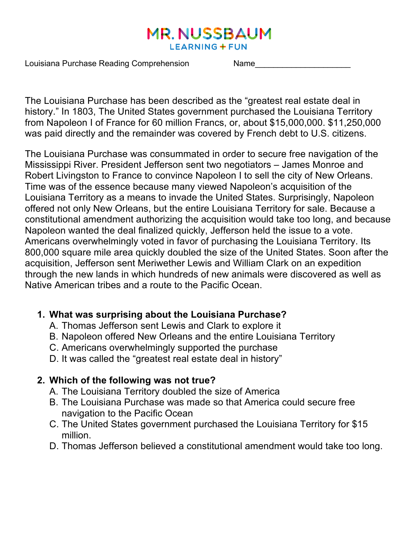# **MR. NUSSBAUM LEARNING + FUN**

Louisiana Purchase Reading Comprehension Name

The Louisiana Purchase has been described as the "greatest real estate deal in history." In 1803, The United States government purchased the Louisiana Territory from Napoleon I of France for 60 million Francs, or, about \$15,000,000. \$11,250,000 was paid directly and the remainder was covered by French debt to U.S. citizens.

The Louisiana Purchase was consummated in order to secure free navigation of the Mississippi River. President Jefferson sent two negotiators – James Monroe and Robert Livingston to France to convince Napoleon I to sell the city of New Orleans. Time was of the essence because many viewed Napoleon's acquisition of the Louisiana Territory as a means to invade the United States. Surprisingly, Napoleon offered not only New Orleans, but the entire Louisiana Territory for sale. Because a constitutional amendment authorizing the acquisition would take too long, and because Napoleon wanted the deal finalized quickly, Jefferson held the issue to a vote. Americans overwhelmingly voted in favor of purchasing the Louisiana Territory. Its 800,000 square mile area quickly doubled the size of the United States. Soon after the acquisition, Jefferson sent Meriwether Lewis and William Clark on an expedition through the new lands in which hundreds of new animals were discovered as well as Native American tribes and a route to the Pacific Ocean.

# **1. What was surprising about the Louisiana Purchase?**

- A. Thomas Jefferson sent Lewis and Clark to explore it
- B. Napoleon offered New Orleans and the entire Louisiana Territory
- C. Americans overwhelmingly supported the purchase
- D. It was called the "greatest real estate deal in history"

# **2. Which of the following was not true?**

- A. The Louisiana Territory doubled the size of America
- B. The Louisiana Purchase was made so that America could secure free navigation to the Pacific Ocean
- C. The United States government purchased the Louisiana Territory for \$15 million.
- D. Thomas Jefferson believed a constitutional amendment would take too long.